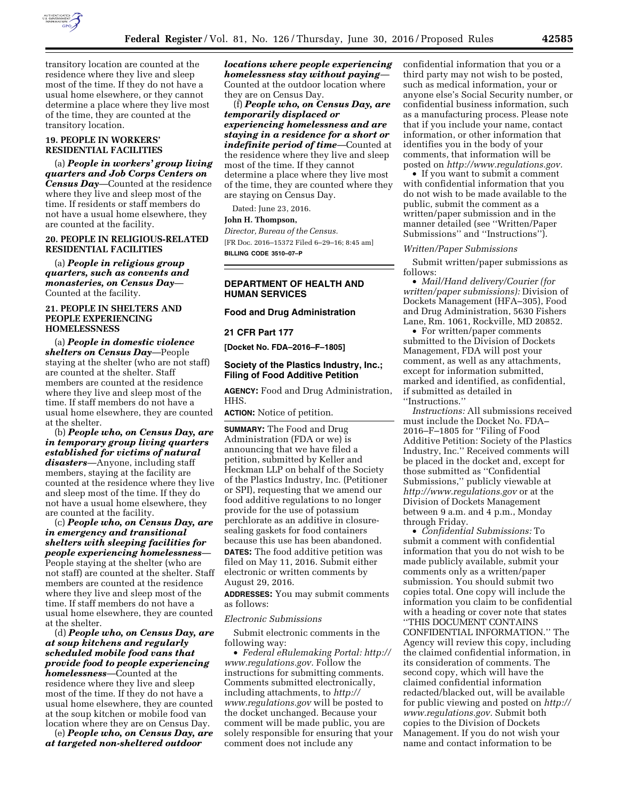

transitory location are counted at the residence where they live and sleep most of the time. If they do not have a usual home elsewhere, or they cannot determine a place where they live most of the time, they are counted at the transitory location.

# **19. PEOPLE IN WORKERS' RESIDENTIAL FACILITIES**

(a) *People in workers' group living quarters and Job Corps Centers on Census Day*—Counted at the residence where they live and sleep most of the time. If residents or staff members do not have a usual home elsewhere, they are counted at the facility.

## **20. PEOPLE IN RELIGIOUS-RELATED RESIDENTIAL FACILITIES**

(a) *People in religious group quarters, such as convents and monasteries, on Census Day*— Counted at the facility.

# **21. PEOPLE IN SHELTERS AND PEOPLE EXPERIENCING HOMELESSNESS**

(a) *People in domestic violence shelters on Census Day*—People staying at the shelter (who are not staff) are counted at the shelter. Staff members are counted at the residence where they live and sleep most of the time. If staff members do not have a usual home elsewhere, they are counted at the shelter.

(b) *People who, on Census Day, are in temporary group living quarters established for victims of natural disasters*—Anyone, including staff members, staying at the facility are counted at the residence where they live and sleep most of the time. If they do not have a usual home elsewhere, they are counted at the facility.

(c) *People who, on Census Day, are in emergency and transitional shelters with sleeping facilities for people experiencing homelessness*— People staying at the shelter (who are not staff) are counted at the shelter. Staff members are counted at the residence where they live and sleep most of the time. If staff members do not have a usual home elsewhere, they are counted at the shelter.

(d) *People who, on Census Day, are at soup kitchens and regularly scheduled mobile food vans that provide food to people experiencing homelessness*—Counted at the residence where they live and sleep most of the time. If they do not have a usual home elsewhere, they are counted at the soup kitchen or mobile food van location where they are on Census Day.

(e) *People who, on Census Day, are at targeted non-sheltered outdoor* 

*locations where people experiencing homelessness stay without paying*— Counted at the outdoor location where they are on Census Day.

(f) *People who, on Census Day, are temporarily displaced or experiencing homelessness and are staying in a residence for a short or indefinite period of time*—Counted at the residence where they live and sleep most of the time. If they cannot determine a place where they live most of the time, they are counted where they are staying on Census Day.

Dated: June 23, 2016.

#### **John H. Thompson,**

*Director, Bureau of the Census.*  [FR Doc. 2016–15372 Filed 6–29–16; 8:45 am] **BILLING CODE 3510–07–P** 

# **DEPARTMENT OF HEALTH AND HUMAN SERVICES**

## **Food and Drug Administration**

**21 CFR Part 177** 

**[Docket No. FDA–2016–F–1805]** 

# **Society of the Plastics Industry, Inc.; Filing of Food Additive Petition**

**AGENCY:** Food and Drug Administration, HHS.

**ACTION:** Notice of petition.

**SUMMARY:** The Food and Drug Administration (FDA or we) is announcing that we have filed a petition, submitted by Keller and Heckman LLP on behalf of the Society of the Plastics Industry, Inc. (Petitioner or SPI), requesting that we amend our food additive regulations to no longer provide for the use of potassium perchlorate as an additive in closuresealing gaskets for food containers because this use has been abandoned. **DATES:** The food additive petition was filed on May 11, 2016. Submit either electronic or written comments by August 29, 2016.

**ADDRESSES:** You may submit comments as follows:

### *Electronic Submissions*

Submit electronic comments in the following way:

• *Federal eRulemaking Portal: [http://](http://www.regulations.gov)  [www.regulations.gov.](http://www.regulations.gov)* Follow the instructions for submitting comments. Comments submitted electronically, including attachments, to *[http://](http://www.regulations.gov) [www.regulations.gov](http://www.regulations.gov)* will be posted to the docket unchanged. Because your comment will be made public, you are solely responsible for ensuring that your comment does not include any

confidential information that you or a third party may not wish to be posted, such as medical information, your or anyone else's Social Security number, or confidential business information, such as a manufacturing process. Please note that if you include your name, contact information, or other information that identifies you in the body of your comments, that information will be posted on *[http://www.regulations.gov.](http://www.regulations.gov)* 

• If you want to submit a comment with confidential information that you do not wish to be made available to the public, submit the comment as a written/paper submission and in the manner detailed (see ''Written/Paper Submissions'' and ''Instructions'').

### *Written/Paper Submissions*

Submit written/paper submissions as follows:

• *Mail/Hand delivery/Courier (for written/paper submissions):* Division of Dockets Management (HFA–305), Food and Drug Administration, 5630 Fishers Lane, Rm. 1061, Rockville, MD 20852.

• For written/paper comments submitted to the Division of Dockets Management, FDA will post your comment, as well as any attachments, except for information submitted, marked and identified, as confidential, if submitted as detailed in ''Instructions.''

*Instructions:* All submissions received must include the Docket No. FDA– 2016–F–1805 for ''Filing of Food Additive Petition: Society of the Plastics Industry, Inc.'' Received comments will be placed in the docket and, except for those submitted as ''Confidential Submissions,'' publicly viewable at *<http://www.regulations.gov>* or at the Division of Dockets Management between 9 a.m. and 4 p.m., Monday through Friday.

• *Confidential Submissions:* To submit a comment with confidential information that you do not wish to be made publicly available, submit your comments only as a written/paper submission. You should submit two copies total. One copy will include the information you claim to be confidential with a heading or cover note that states ''THIS DOCUMENT CONTAINS CONFIDENTIAL INFORMATION.'' The Agency will review this copy, including the claimed confidential information, in its consideration of comments. The second copy, which will have the claimed confidential information redacted/blacked out, will be available for public viewing and posted on *[http://](http://www.regulations.gov)  [www.regulations.gov.](http://www.regulations.gov)* Submit both copies to the Division of Dockets Management. If you do not wish your name and contact information to be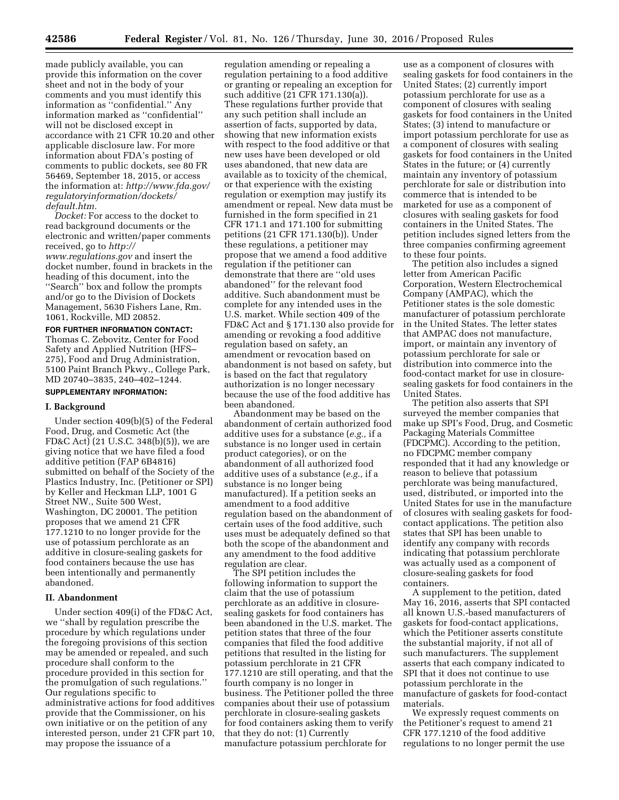made publicly available, you can provide this information on the cover sheet and not in the body of your comments and you must identify this information as ''confidential.'' Any information marked as ''confidential'' will not be disclosed except in accordance with 21 CFR 10.20 and other applicable disclosure law. For more information about FDA's posting of comments to public dockets, see 80 FR 56469, September 18, 2015, or access the information at: *[http://www.fda.gov/](http://www.fda.gov/regulatoryinformation/dockets/default.htm)  [regulatoryinformation/dockets/](http://www.fda.gov/regulatoryinformation/dockets/default.htm) [default.htm.](http://www.fda.gov/regulatoryinformation/dockets/default.htm)* 

*Docket:* For access to the docket to read background documents or the electronic and written/paper comments received, go to *[http://](http://www.regulations.gov) [www.regulations.gov](http://www.regulations.gov)* and insert the docket number, found in brackets in the heading of this document, into the ''Search'' box and follow the prompts and/or go to the Division of Dockets Management, 5630 Fishers Lane, Rm. 1061, Rockville, MD 20852.

**FOR FURTHER INFORMATION CONTACT:**  Thomas C. Zebovitz, Center for Food Safety and Applied Nutrition (HFS– 275), Food and Drug Administration, 5100 Paint Branch Pkwy., College Park, MD 20740–3835, 240–402–1244.

# **SUPPLEMENTARY INFORMATION:**

#### **I. Background**

Under section 409(b)(5) of the Federal Food, Drug, and Cosmetic Act (the FD&C Act) (21 U.S.C. 348(b)(5)), we are giving notice that we have filed a food additive petition (FAP 6B4816) submitted on behalf of the Society of the Plastics Industry, Inc. (Petitioner or SPI) by Keller and Heckman LLP, 1001 G Street NW., Suite 500 West, Washington, DC 20001. The petition proposes that we amend 21 CFR 177.1210 to no longer provide for the use of potassium perchlorate as an additive in closure-sealing gaskets for food containers because the use has been intentionally and permanently abandoned.

#### **II. Abandonment**

Under section 409(i) of the FD&C Act, we ''shall by regulation prescribe the procedure by which regulations under the foregoing provisions of this section may be amended or repealed, and such procedure shall conform to the procedure provided in this section for the promulgation of such regulations.'' Our regulations specific to administrative actions for food additives provide that the Commissioner, on his own initiative or on the petition of any interested person, under 21 CFR part 10, may propose the issuance of a

regulation amending or repealing a regulation pertaining to a food additive or granting or repealing an exception for such additive (21 CFR 171.130(a)). These regulations further provide that any such petition shall include an assertion of facts, supported by data, showing that new information exists with respect to the food additive or that new uses have been developed or old uses abandoned, that new data are available as to toxicity of the chemical, or that experience with the existing regulation or exemption may justify its amendment or repeal. New data must be furnished in the form specified in 21 CFR 171.1 and 171.100 for submitting petitions (21 CFR 171.130(b)). Under these regulations, a petitioner may propose that we amend a food additive regulation if the petitioner can demonstrate that there are ''old uses abandoned'' for the relevant food additive. Such abandonment must be complete for any intended uses in the U.S. market. While section 409 of the FD&C Act and § 171.130 also provide for amending or revoking a food additive regulation based on safety, an amendment or revocation based on abandonment is not based on safety, but is based on the fact that regulatory authorization is no longer necessary because the use of the food additive has been abandoned.

Abandonment may be based on the abandonment of certain authorized food additive uses for a substance (*e.g.,* if a substance is no longer used in certain product categories), or on the abandonment of all authorized food additive uses of a substance (*e.g.,* if a substance is no longer being manufactured). If a petition seeks an amendment to a food additive regulation based on the abandonment of certain uses of the food additive, such uses must be adequately defined so that both the scope of the abandonment and any amendment to the food additive regulation are clear.

The SPI petition includes the following information to support the claim that the use of potassium perchlorate as an additive in closuresealing gaskets for food containers has been abandoned in the U.S. market. The petition states that three of the four companies that filed the food additive petitions that resulted in the listing for potassium perchlorate in 21 CFR 177.1210 are still operating, and that the fourth company is no longer in business. The Petitioner polled the three companies about their use of potassium perchlorate in closure-sealing gaskets for food containers asking them to verify that they do not: (1) Currently manufacture potassium perchlorate for

use as a component of closures with sealing gaskets for food containers in the United States; (2) currently import potassium perchlorate for use as a component of closures with sealing gaskets for food containers in the United States; (3) intend to manufacture or import potassium perchlorate for use as a component of closures with sealing gaskets for food containers in the United States in the future; or (4) currently maintain any inventory of potassium perchlorate for sale or distribution into commerce that is intended to be marketed for use as a component of closures with sealing gaskets for food containers in the United States. The petition includes signed letters from the three companies confirming agreement to these four points.

The petition also includes a signed letter from American Pacific Corporation, Western Electrochemical Company (AMPAC), which the Petitioner states is the sole domestic manufacturer of potassium perchlorate in the United States. The letter states that AMPAC does not manufacture, import, or maintain any inventory of potassium perchlorate for sale or distribution into commerce into the food-contact market for use in closuresealing gaskets for food containers in the United States.

The petition also asserts that SPI surveyed the member companies that make up SPI's Food, Drug, and Cosmetic Packaging Materials Committee (FDCPMC). According to the petition, no FDCPMC member company responded that it had any knowledge or reason to believe that potassium perchlorate was being manufactured, used, distributed, or imported into the United States for use in the manufacture of closures with sealing gaskets for foodcontact applications. The petition also states that SPI has been unable to identify any company with records indicating that potassium perchlorate was actually used as a component of closure-sealing gaskets for food containers.

A supplement to the petition, dated May 16, 2016, asserts that SPI contacted all known U.S.-based manufacturers of gaskets for food-contact applications, which the Petitioner asserts constitute the substantial majority, if not all of such manufacturers. The supplement asserts that each company indicated to SPI that it does not continue to use potassium perchlorate in the manufacture of gaskets for food-contact materials.

We expressly request comments on the Petitioner's request to amend 21 CFR 177.1210 of the food additive regulations to no longer permit the use